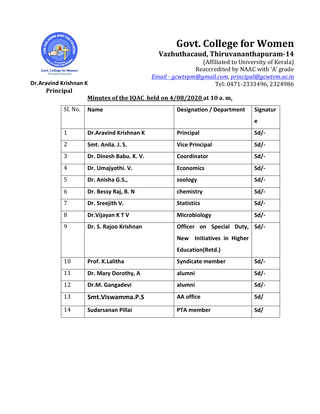

# **Govt. College for Women**

**Vazhuthacaud, Thiruvananthapuram-14**

(Affiliated to University of Kerala) Reaccredited by NAAC with 'A' grade *Email - [gcwtvpm@gmail.com,](mailto:Email%20-%20gcwtvpm@gmail.com) [principal@gcwtvm.ac.in](mailto:principal@gcwtvm.ac.in)* **Dr.Aravind Krishnan K** Tel: 0471-2333496, 2324986

## **Principal**

## **Minutes of the IQAC held on 4/08/2020 at 10 a. m.**

| Sl. No.        |                              |                                            |          |
|----------------|------------------------------|--------------------------------------------|----------|
|                | <b>Name</b>                  | <b>Designation / Department</b>            | Signatur |
|                |                              |                                            | e        |
| $\mathbf{1}$   | <b>Dr.Aravind Krishnan K</b> | Principal                                  | $Sd$ /-  |
| $\overline{2}$ | Smt. Anila. J. S.            | <b>Vice Principal</b>                      | Sd       |
| 3              | Dr. Dinesh Babu. K. V.       | Coordinator                                | Sd       |
| $\overline{4}$ | Dr. Umajyothi. V.            | <b>Economics</b>                           | $Sd$ .   |
| 5              | Dr. Anisha G.S.,             | zoology                                    | $Sd$ /-  |
| 6              | Dr. Bessy Raj, B. N          | chemistry                                  | Sd       |
| 7              | Dr. Sreejith V.              | <b>Statistics</b>                          | $Sd$ /-  |
| 8              | Dr. Vijayan KTV              | Microbiology                               | $Sd$ .   |
| 9              | Dr. S. Rajoo Krishnan        | Officer on<br><b>Special</b><br>Duty,      | $Sd$ /-  |
|                |                              | <b>Initiatives in Higher</b><br><b>New</b> |          |
|                |                              | <b>Education(Retd.)</b>                    |          |
| 10             | Prof. K.Lalitha              | <b>Syndicate member</b>                    | $Sd$ /-  |
| 11             | Dr. Mary Dorothy, A          | alumni                                     | $Sd$ .   |
| 12             | Dr.M. Gangadevi              | alumni                                     | $Sd$ /-  |
| 13             | Smt. Viswamma. P.S           | <b>AA</b> office                           | Sd/      |
| 14             | Sudarsanan Pillai            | <b>PTA member</b>                          | Sd/      |